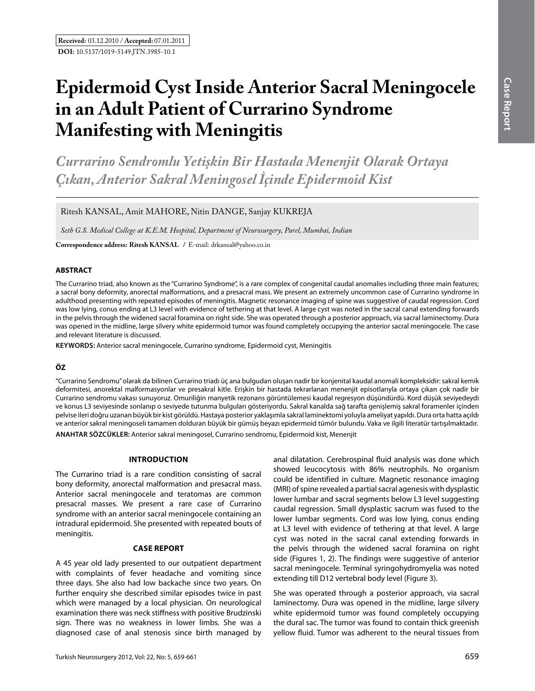# **Epidermoid Cyst Inside Anterior Sacral Meningocele in an Adult Patient of Currarino Syndrome Manifesting with Meningitis**

*Currarino Sendromlu Yetişkin Bir Hastada Menenjit Olarak Ortaya Çıkan, Anterior Sakral Meningosel İçinde Epidermoid Kist* 

Ritesh Kansal, Amit Mahore, Nitin Dange, Sanjay Kukreja

*Seth G.S. Medical College at K.E.M. Hospital, Department of Neurosurgery, Parel, Mumbai, Indian*

**Correspondence address: Ritesh KANSAL / E-mail: drkansal@yahoo.co.in** 

#### **ABSTRACT**

The Currarino triad, also known as the "Currarino Syndrome", is a rare complex of congenital caudal anomalies including three main features; a sacral bony deformity, anorectal malformations, and a presacral mass. We present an extremely uncommon case of Currarino syndrome in adulthood presenting with repeated episodes of meningitis. Magnetic resonance imaging of spine was suggestive of caudal regression. Cord was low lying, conus ending at L3 level with evidence of tethering at that level. A large cyst was noted in the sacral canal extending forwards in the pelvis through the widened sacral foramina on right side. She was operated through a posterior approach, via sacral laminectomy. Dura was opened in the midline, large silvery white epidermoid tumor was found completely occupying the anterior sacral meningocele. The case and relevant literature is discussed.

**Keywords:** Anterior sacral meningocele, Currarino syndrome, Epidermoid cyst, Meningitis

## **ÖZ**

"Currarino Sendromu" olarak da bilinen Currarino triadı üç ana bulgudan oluşan nadir bir konjenital kaudal anomali kompleksidir: sakral kemik deformitesi, anorektal malformasyonlar ve presakral kitle. Erişkin bir hastada tekrarlanan menenjit episotlarıyla ortaya çıkan çok nadir bir Currarino sendromu vakası sunuyoruz. Omuriliğin manyetik rezonans görüntülemesi kaudal regresyon düşündürdü. Kord düşük seviyedeydi ve konus L3 seviyesinde sonlanıp o seviyede tutunma bulguları gösteriyordu. Sakral kanalda sağ tarafta genişlemiş sakral foramenler içinden pelvise ileri doğru uzanan büyük bir kist görüldü. Hastaya posterior yaklaşımla sakral laminektomi yoluyla ameliyat yapıldı. Dura orta hatta açıldı ve anterior sakral meningoseli tamamen dolduran büyük bir gümüş beyazı epidermoid tümör bulundu. Vaka ve ilgili literatür tartışılmaktadır. **ANAHTAR SÖZCÜKLER:** Anterior sakral meningosel, Currarino sendromu, Epidermoid kist, Menenjit

# **Introductıon**

The Currarino triad is a rare condition consisting of sacral bony deformity, anorectal malformation and presacral mass. Anterior sacral meningocele and teratomas are common presacral masses. We present a rare case of Currarino syndrome with an anterior sacral meningocele containing an intradural epidermoid. She presented with repeated bouts of meningitis.

#### **Case report**

A 45 year old lady presented to our outpatient department with complaints of fever headache and vomiting since three days. She also had low backache since two years. On further enquiry she described similar episodes twice in past which were managed by a local physician. On neurological examination there was neck stiffness with positive Brudzinski sign. There was no weakness in lower limbs. She was a diagnosed case of anal stenosis since birth managed by anal dilatation. Cerebrospinal fluid analysis was done which showed leucocytosis with 86% neutrophils. No organism could be identified in culture. Magnetic resonance imaging (MRI) of spine revealed a partial sacral agenesis with dysplastic lower lumbar and sacral segments below L3 level suggesting caudal regression. Small dysplastic sacrum was fused to the lower lumbar segments. Cord was low lying, conus ending at L3 level with evidence of tethering at that level. A large cyst was noted in the sacral canal extending forwards in the pelvis through the widened sacral foramina on right side (Figures 1, 2). The findings were suggestive of anterior sacral meningocele. Terminal syringohydromyelia was noted extending till D12 vertebral body level (Figure 3).

She was operated through a posterior approach, via sacral laminectomy. Dura was opened in the midline, large silvery white epidermoid tumor was found completely occupying the dural sac. The tumor was found to contain thick greenish yellow fluid. Tumor was adherent to the neural tissues from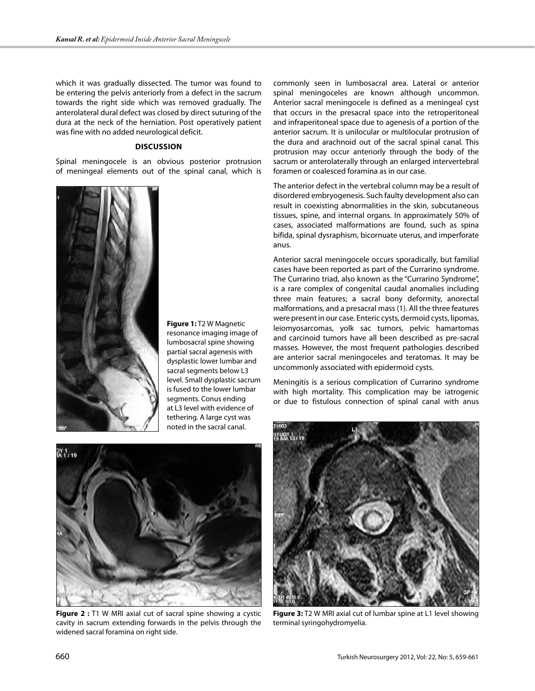which it was gradually dissected. The tumor was found to be entering the pelvis anteriorly from a defect in the sacrum towards the right side which was removed gradually. The anterolateral dural defect was closed by direct suturing of the dura at the neck of the herniation. Post operatively patient was fine with no added neurological deficit.

# **Dıscussıon**

Spinal meningocele is an obvious posterior protrusion of meningeal elements out of the spinal canal, which is



**Figure 1:** T2 W Magnetic resonance imaging image of lumbosacral spine showing partial sacral agenesis with dysplastic lower lumbar and sacral segments below L3 level. Small dysplastic sacrum is fused to the lower lumbar segments. Conus ending at L3 level with evidence of tethering. A large cyst was noted in the sacral canal.



**Figure 2 :** T1 W MRI axial cut of sacral spine showing a cystic cavity in sacrum extending forwards in the pelvis through the widened sacral foramina on right side.

commonly seen in lumbosacral area. Lateral or anterior spinal meningoceles are known although uncommon. Anterior sacral meningocele is defined as a meningeal cyst that occurs in the presacral space into the retroperitoneal and infraperitoneal space due to agenesis of a portion of the anterior sacrum. It is unilocular or multilocular protrusion of the dura and arachnoid out of the sacral spinal canal. This protrusion may occur anteriorly through the body of the sacrum or anterolaterally through an enlarged intervertebral foramen or coalesced foramina as in our case.

The anterior defect in the vertebral column may be a result of disordered embryogenesis. Such faulty development also can result in coexisting abnormalities in the skin, subcutaneous tissues, spine, and internal organs. In approximately 50% of cases, associated malformations are found, such as spina bifida, spinal dysraphism, bicornuate uterus, and imperforate anus.

Anterior sacral meningocele occurs sporadically, but familial cases have been reported as part of the Currarino syndrome. The Currarino triad, also known as the "Currarino Syndrome", is a rare complex of congenital caudal anomalies including three main features; a sacral bony deformity, anorectal malformations, and a presacral mass (1). All the three features were present in our case. Enteric cysts, dermoid cysts, lipomas, leiomyosarcomas, yolk sac tumors, pelvic hamartomas and carcinoid tumors have all been described as pre-sacral masses. However, the most frequent pathologies described are anterior sacral meningoceles and teratomas. It may be uncommonly associated with epidermoid cysts.

Meningitis is a serious complication of Currarino syndrome with high mortality. This complication may be iatrogenic or due to fistulous connection of spinal canal with anus



**Figure 3:** T2 W MRI axial cut of lumbar spine at L1 level showing terminal syringohydromyelia.